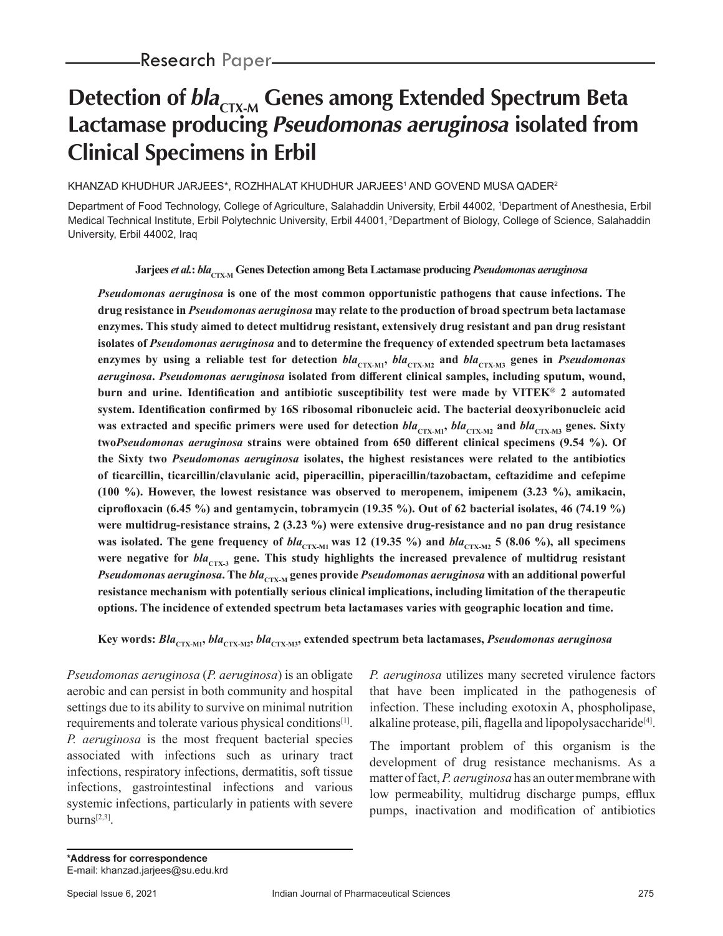# **Detection of**  $bla_{\text{CTX-M}}$  **Genes among Extended Spectrum Beta Lactamase producing Pseudomonas aeruginosa isolated from Clinical Specimens in Erbil**

#### KHANZAD KHUDHUR JARJEES\*, ROZHHALAT KHUDHUR JARJEES' AND GOVEND MUSA QADER<sup>2</sup>

Department of Food Technology, College of Agriculture, Salahaddin University, Erbil 44002, 1 Department of Anesthesia, Erbil Medical Technical Institute, Erbil Polytechnic University, Erbil 44001, 2Department of Biology, College of Science, Salahaddin University, Erbil 44002, Iraq

**Jarjees** *et al.***:** *bla***<sub>CTX-M</sub> Genes Detection among Beta Lactamase producing** *Pseudomonas aeruginosa* 

*Pseudomonas aeruginosa* **is one of the most common opportunistic pathogens that cause infections. The drug resistance in** *Pseudomonas aeruginosa* **may relate to the production of broad spectrum beta lactamase enzymes. This study aimed to detect multidrug resistant, extensively drug resistant and pan drug resistant isolates of** *Pseudomonas aeruginosa* **and to determine the frequency of extended spectrum beta lactamases**  enzymes by using a reliable test for detection  $bla_{\text{CTX-M1}}$ ,  $bla_{\text{CTX-M2}}$  and  $bla_{\text{CTX-M3}}$  genes in *Pseudomonas aeruginosa***.** *Pseudomonas aeruginosa* **isolated from different clinical samples, including sputum, wound, burn and urine. Identification and antibiotic susceptibility test were made by VITEK® 2 automated system. Identification confirmed by 16S ribosomal ribonucleic acid. The bacterial deoxyribonucleic acid**  was extracted and specific primers were used for detection  $bla_{\text{CTX-M1}}$ ,  $bla_{\text{CTX-M2}}$  and  $bla_{\text{CTX-M3}}$  genes. Sixty **two***Pseudomonas aeruginosa* **strains were obtained from 650 different clinical specimens (9.54 %). Of the Sixty two** *Pseudomonas aeruginosa* **isolates, the highest resistances were related to the antibiotics of ticarcillin, ticarcillin/clavulanic acid, piperacillin, piperacillin/tazobactam, ceftazidime and cefepime (100 %). However, the lowest resistance was observed to meropenem, imipenem (3.23 %), amikacin, ciprofloxacin (6.45 %) and gentamycin, tobramycin (19.35 %). Out of 62 bacterial isolates, 46 (74.19 %) were multidrug-resistance strains, 2 (3.23 %) were extensive drug-resistance and no pan drug resistance**  was isolated. The gene frequency of  $bla_{\text{CTX-M1}}$  was 12 (19.35 %) and  $bla_{\text{CTX-M2}}$  5 (8.06 %), all specimens were negative for  $bla_{\text{CTX-3}}$  gene. This study highlights the increased prevalence of multidrug resistant *Pseudomonas aeruginosa***.** The *bla*<sub>CTX-M</sub> genes provide *Pseudomonas aeruginosa* with an additional powerful **resistance mechanism with potentially serious clinical implications, including limitation of the therapeutic options. The incidence of extended spectrum beta lactamases varies with geographic location and time.**

**Key words:** *Bla***CTX-M1,** *bla***CTX-M2,** *bla***CTX-M3, extended spectrum beta lactamases,** *Pseudomonas aeruginosa*

*Pseudomonas aeruginosa* (*P. aeruginosa*) is an obligate aerobic and can persist in both community and hospital settings due to its ability to survive on minimal nutrition requirements and tolerate various physical conditions[1]. *P. aeruginosa* is the most frequent bacterial species associated with infections such as urinary tract infections, respiratory infections, dermatitis, soft tissue infections, gastrointestinal infections and various systemic infections, particularly in patients with severe  $burns^{[2,3]}$ .

*P. aeruginosa* utilizes many secreted virulence factors that have been implicated in the pathogenesis of infection. These including exotoxin A, phospholipase, alkaline protease, pili, flagella and lipopolysaccharide<sup>[4]</sup>.

The important problem of this organism is the development of drug resistance mechanisms. As a matter of fact, *P. aeruginosa* has an outer membrane with low permeability, multidrug discharge pumps, efflux pumps, inactivation and modification of antibiotics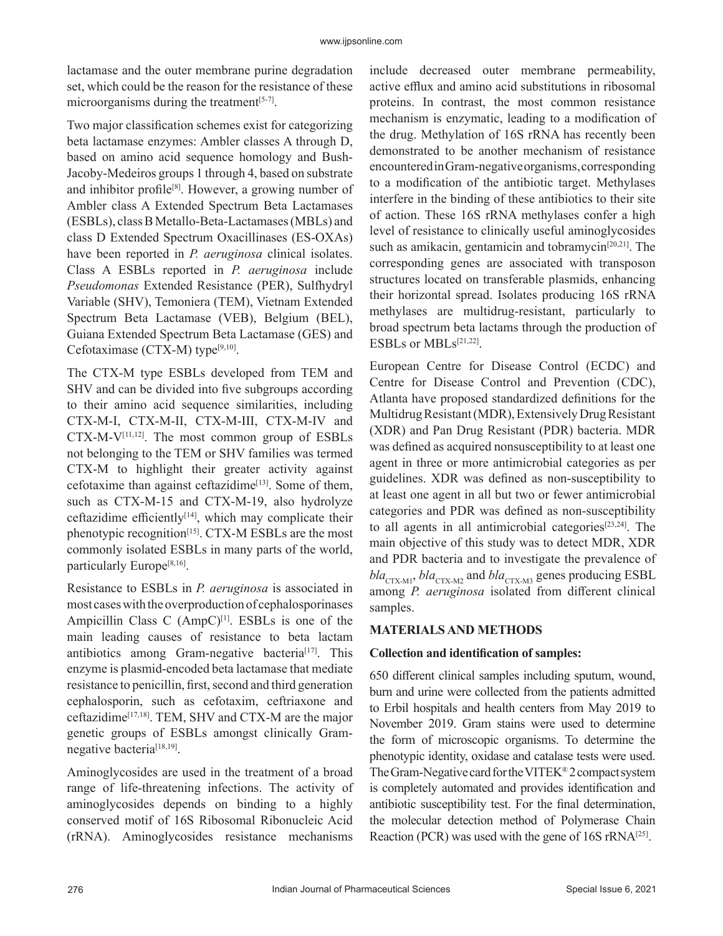lactamase and the outer membrane purine degradation set, which could be the reason for the resistance of these microorganisms during the treatment  $[5-7]$ .

Two major classification schemes exist for categorizing beta lactamase enzymes: Ambler classes A through D, based on amino acid sequence homology and Bush-Jacoby-Medeiros groups 1 through 4, based on substrate and inhibitor profile<sup>[8]</sup>. However, a growing number of Ambler class A Extended Spectrum Beta Lactamases (ESBLs), class B Metallo-Beta-Lactamases (MBLs) and class D Extended Spectrum Oxacillinases (ES-OXAs) have been reported in *P. aeruginosa* clinical isolates. Class A ESBLs reported in *P. aeruginosa* include *Pseudomonas* Extended Resistance (PER), Sulfhydryl Variable (SHV), Temoniera (TEM), Vietnam Extended Spectrum Beta Lactamase (VEB), Belgium (BEL), Guiana Extended Spectrum Beta Lactamase (GES) and Cefotaximase (CTX-M) type<sup>[9,10]</sup>.

The CTX-M type ESBLs developed from TEM and SHV and can be divided into five subgroups according to their amino acid sequence similarities, including CTX-M-I, CTX-M-II, CTX-M-III, CTX-M-IV and  $CTX-M-V^{[11,12]}$ . The most common group of ESBLs not belonging to the TEM or SHV families was termed CTX-M to highlight their greater activity against cefotaxime than against ceftazidime<sup>[13]</sup>. Some of them, such as CTX-M-15 and CTX-M-19, also hydrolyze ceftazidime efficiently<sup>[14]</sup>, which may complicate their phenotypic recognition<sup>[15]</sup>. CTX-M ESBLs are the most commonly isolated ESBLs in many parts of the world, particularly Europe<sup>[8,16]</sup>.

Resistance to ESBLs in *P. aeruginosa* is associated in most cases with the overproduction of cephalosporinases Ampicillin Class C  $(AmpC)^{[1]}$ . ESBLs is one of the main leading causes of resistance to beta lactam antibiotics among Gram-negative bacteria<sup>[17]</sup>. This enzyme is plasmid-encoded beta lactamase that mediate resistance to penicillin, first, second and third generation cephalosporin, such as cefotaxim, ceftriaxone and ceftazidime[17,18]. TEM, SHV and CTX-M are the major genetic groups of ESBLs amongst clinically Gramnegative bacteria<sup>[18,19]</sup>.

Aminoglycosides are used in the treatment of a broad range of life-threatening infections. The activity of aminoglycosides depends on binding to a highly conserved motif of 16S Ribosomal Ribonucleic Acid (rRNA). Aminoglycosides resistance mechanisms include decreased outer membrane permeability, active efflux and amino acid substitutions in ribosomal proteins. In contrast, the most common resistance mechanism is enzymatic, leading to a modification of the drug. Methylation of 16S rRNA has recently been demonstrated to be another mechanism of resistance encountered in Gram-negative organisms, corresponding to a modification of the antibiotic target. Methylases interfere in the binding of these antibiotics to their site of action. These 16S rRNA methylases confer a high level of resistance to clinically useful aminoglycosides such as amikacin, gentamicin and tobramycin<sup>[20,21]</sup>. The corresponding genes are associated with transposon structures located on transferable plasmids, enhancing their horizontal spread. Isolates producing 16S rRNA methylases are multidrug-resistant, particularly to broad spectrum beta lactams through the production of ESBLs or MBLs[21,22].

European Centre for Disease Control (ECDC) and Centre for Disease Control and Prevention (CDC), Atlanta have proposed standardized definitions for the Multidrug Resistant (MDR), Extensively Drug Resistant (XDR) and Pan Drug Resistant (PDR) bacteria. MDR was defined as acquired nonsusceptibility to at least one agent in three or more antimicrobial categories as per guidelines. XDR was defined as non-susceptibility to at least one agent in all but two or fewer antimicrobial categories and PDR was defined as non-susceptibility to all agents in all antimicrobial categories $[23,24]$ . The main objective of this study was to detect MDR, XDR and PDR bacteria and to investigate the prevalence of  $bla_{\text{CTX-M1}}$ ,  $bla_{\text{CTX-M2}}$  and  $bla_{\text{CTX-M3}}$  genes producing ESBL among *P. aeruginosa* isolated from different clinical samples.

# **MATERIALS AND METHODS**

### **Collection and identification of samples:**

650 different clinical samples including sputum, wound, burn and urine were collected from the patients admitted to Erbil hospitals and health centers from May 2019 to November 2019. Gram stains were used to determine the form of microscopic organisms. To determine the phenotypic identity, oxidase and catalase tests were used. The Gram-Negative card for the VITEK® 2 compact system is completely automated and provides identification and antibiotic susceptibility test. For the final determination, the molecular detection method of Polymerase Chain Reaction (PCR) was used with the gene of  $16S$  rRNA<sup>[25]</sup>.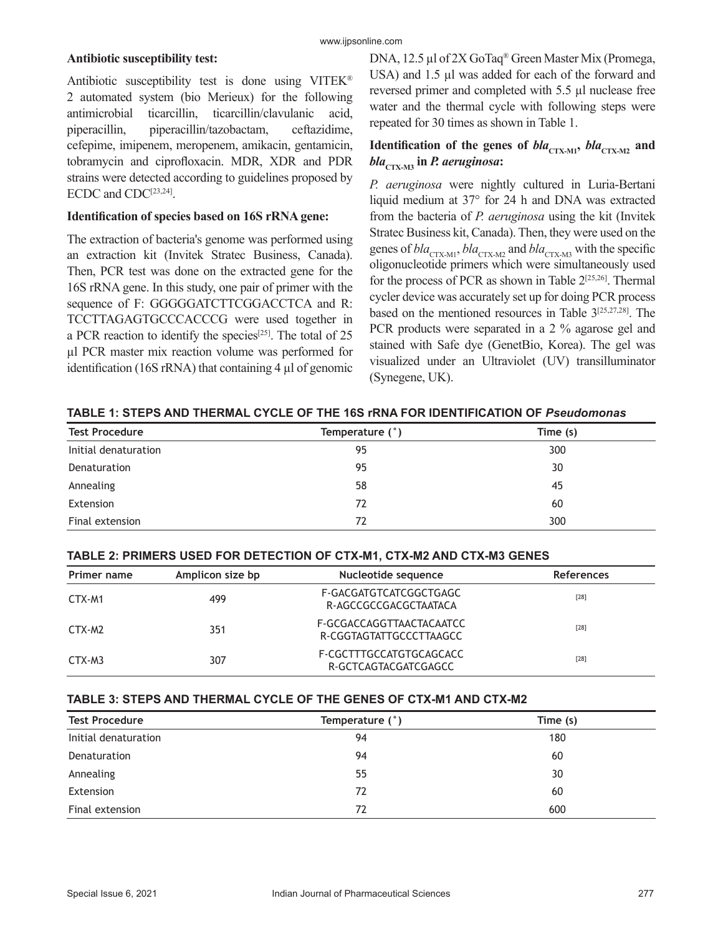#### **Antibiotic susceptibility test:**

Antibiotic susceptibility test is done using VITEK® 2 automated system (bio Merieux) for the following antimicrobial ticarcillin, ticarcillin/clavulanic acid, piperacillin, piperacillin/tazobactam, ceftazidime, cefepime, imipenem, meropenem, amikacin, gentamicin, tobramycin and ciprofloxacin. MDR, XDR and PDR strains were detected according to guidelines proposed by ECDC and CDC<sup>[23,24]</sup>.

#### **Identification of species based on 16S rRNA gene:**

The extraction of bacteria's genome was performed using an extraction kit (Invitek Stratec Business, Canada). Then, PCR test was done on the extracted gene for the 16S rRNA gene. In this study, one pair of primer with the sequence of F: GGGGGATCTTCGGACCTCA and R: TCCTTAGAGTGCCCACCCG were used together in a PCR reaction to identify the species<sup>[25]</sup>. The total of 25 µl PCR master mix reaction volume was performed for identification (16S rRNA) that containing 4 µl of genomic DNA, 12.5 µl of 2X GoTaq® Green Master Mix (Promega, USA) and 1.5 µl was added for each of the forward and reversed primer and completed with 5.5 µl nuclease free water and the thermal cycle with following steps were repeated for 30 times as shown in Table 1.

# **Identification of the genes of**  $bla_{\text{CTX-M1}}$ **,**  $bla_{\text{CTX-M2}}$  **and** *bla***CTX-M3 in** *P. aeruginosa***:**

*P. aeruginosa* were nightly cultured in Luria-Bertani liquid medium at 37° for 24 h and DNA was extracted from the bacteria of *P. aeruginosa* using the kit (Invitek Stratec Business kit, Canada). Then, they were used on the genes of  $bla_{\text{CTX-M1}}$ ,  $bla_{\text{CTX-M2}}$  and  $bla_{\text{CTX-M3}}$  with the specific oligonucleotide primers which were simultaneously used for the process of PCR as shown in Table  $2^{[25,26]}$ . Thermal cycler device was accurately set up for doing PCR process based on the mentioned resources in Table 3[25,27,28]. The PCR products were separated in a 2 % agarose gel and stained with Safe dye (GenetBio, Korea). The gel was visualized under an Ultraviolet (UV) transilluminator (Synegene, UK).

**TABLE 1: STEPS AND THERMAL CYCLE OF THE 16S rRNA FOR IDENTIFICATION OF** *Pseudomonas*

| <b>Test Procedure</b> | Temperature (°) | Time (s) |
|-----------------------|-----------------|----------|
| Initial denaturation  | 95              | 300      |
| Denaturation          | 95              | 30       |
| Annealing             | 58              | 45       |
| Extension             | 72              | 60       |
| Final extension       | 72              | 300      |

#### **TABLE 2: PRIMERS USED FOR DETECTION OF CTX-M1, CTX-M2 AND CTX-M3 GENES**

| Primer name | Amplicon size bp | Nucleotide sequence                                 | <b>References</b> |
|-------------|------------------|-----------------------------------------------------|-------------------|
| CTX-M1      | 499              | F-GACGATGTCATCGGCTGAGC<br>R-AGCCGCCGACGCTAATACA     | $[28]$            |
| CTX-M2      | 351              | F-GCGACCAGGTTAACTACAATCC<br>R-CGGTAGTATTGCCCTTAAGCC | $[28]$            |
| CTX-M3      | 307              | F-CGCTTTGCCATGTGCAGCACC<br>R-GCTCAGTACGATCGAGCC     | $[28]$            |

#### **TABLE 3: STEPS AND THERMAL CYCLE OF THE GENES OF CTX-M1 AND CTX-M2**

| <b>Test Procedure</b> | Temperature (°) | Time (s) |
|-----------------------|-----------------|----------|
| Initial denaturation  | 94              | 180      |
| Denaturation          | 94              | 60       |
| Annealing             | 55              | 30       |
| Extension             | 72              | 60       |
| Final extension       | 72              | 600      |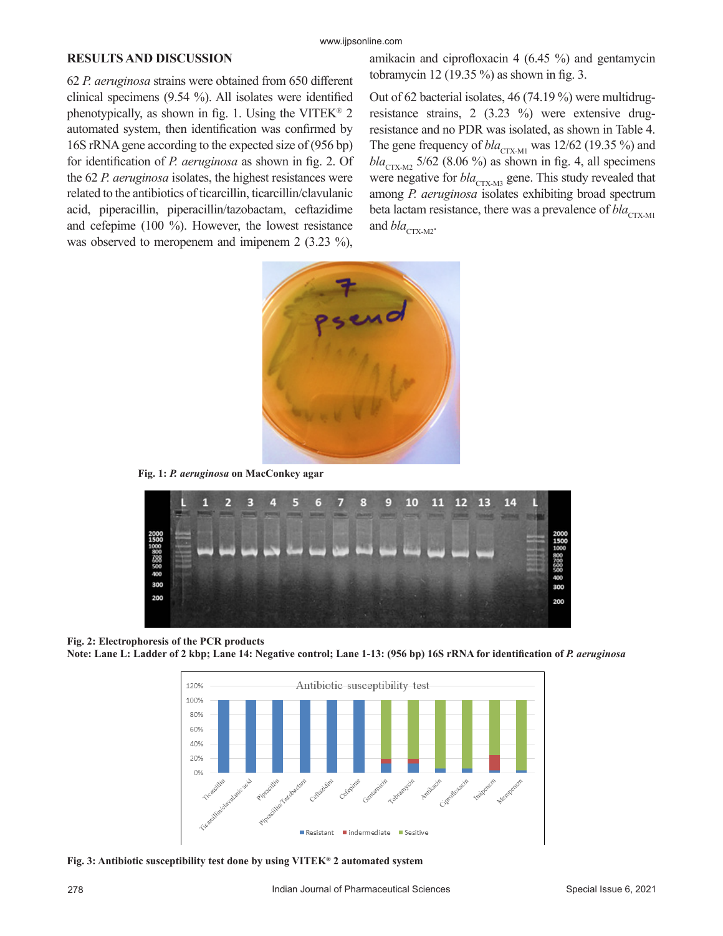#### **RESULTS AND DISCUSSION**

62 *P. aeruginosa* strains were obtained from 650 different clinical specimens (9.54 %). All isolates were identified phenotypically, as shown in fig. 1. Using the VITEK<sup>®</sup> 2 automated system, then identification was confirmed by 16S rRNA gene according to the expected size of (956 bp) for identification of *P. aeruginosa* as shown in fig. 2. Of the 62 *P. aeruginosa* isolates, the highest resistances were related to the antibiotics of ticarcillin, ticarcillin/clavulanic acid, piperacillin, piperacillin/tazobactam, ceftazidime and cefepime (100 %). However, the lowest resistance was observed to meropenem and imipenem 2 (3.23 %),

amikacin and ciprofloxacin 4 (6.45 %) and gentamycin tobramycin 12 (19.35 %) as shown in fig. 3.

Out of 62 bacterial isolates, 46 (74.19 %) were multidrugresistance strains, 2 (3.23 %) were extensive drugresistance and no PDR was isolated, as shown in Table 4. The gene frequency of  $bla_{\text{CTX-M1}}$  was 12/62 (19.35 %) and  $bla_{\text{CTX-}M2}$  5/62 (8.06 %) as shown in fig. 4, all specimens were negative for *bla*<sub>CTX-M3</sub> gene. This study revealed that among *P. aeruginosa* isolates exhibiting broad spectrum beta lactam resistance, there was a prevalence of *bla*<sub>CTX-M1</sub> and  $bla_{\text{CTX-M2}}$ .



**Fig. 1:** *P. aeruginosa* **on MacConkey agar**



**Fig. 2: Electrophoresis of the PCR products Note: Lane L: Ladder of 2 kbp; Lane 14: Negative control; Lane 1-13: (956 bp) 16S rRNA for identification of** *P. aeruginosa*



**Fig. 3: Antibiotic susceptibility test done by using VITEK® 2 automated system**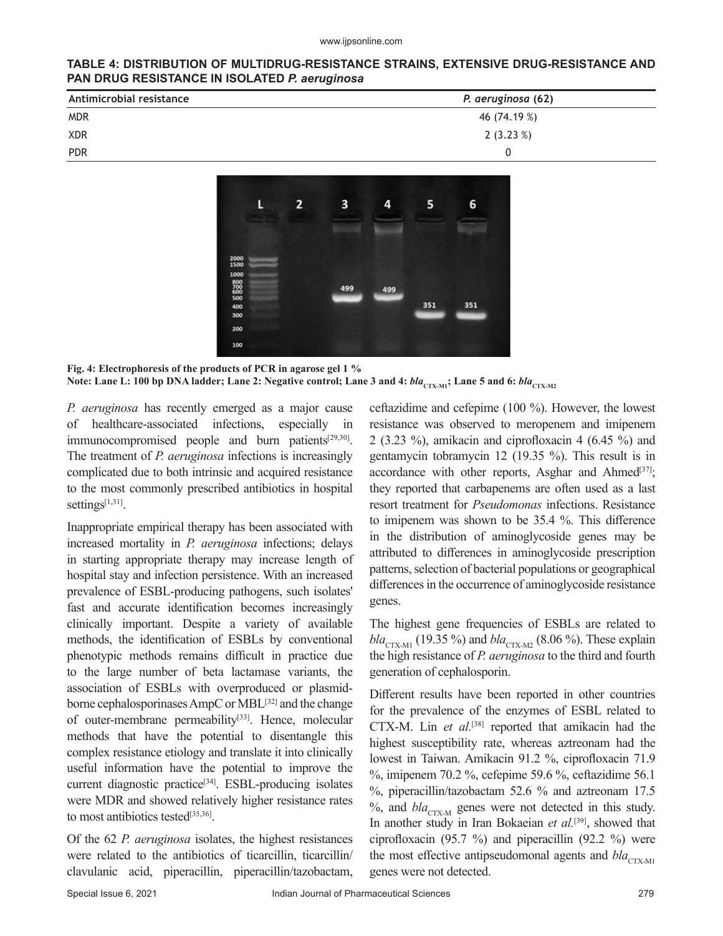#### www.ijpsonline.com

#### **TABLE 4: DISTRIBUTION OF MULTIDRUG-RESISTANCE STRAINS, EXTENSIVE DRUG-RESISTANCE AND PAN DRUG RESISTANCE IN ISOLATED** *P. aeruginosa*

| Antimicrobial resistance | P. aeruginosa (62) |
|--------------------------|--------------------|
| <b>MDR</b>               | 46 (74.19 %)       |
| <b>XDR</b>               | 2(3.23%)           |
| <b>PDR</b>               | 0                  |



**Fig. 4: Electrophoresis of the products of PCR in agarose gel 1 %** Note: Lane L: 100 bp DNA ladder; Lane 2: Negative control; Lane 3 and 4:  $bla_{\text{CTX-M1}}$ ; Lane 5 and 6:  $bla_{\text{CTX-M2}}$ 

*P. aeruginosa* has recently emerged as a major cause of healthcare-associated infections, especially immunocompromised people and burn patients $[29,30]$ . The treatment of *P. aeruginosa* infections is increasingly complicated due to both intrinsic and acquired resistance to the most commonly prescribed antibiotics in hospital settings $[1,31]$ .

Inappropriate empirical therapy has been associated with increased mortality in *P. aeruginosa* infections; delays in starting appropriate therapy may increase length of hospital stay and infection persistence. With an increased prevalence of ESBL-producing pathogens, such isolates' fast and accurate identification becomes increasingly clinically important. Despite a variety of available methods, the identification of ESBLs by conventional phenotypic methods remains difficult in practice due to the large number of beta lactamase variants, the association of ESBLs with overproduced or plasmidborne cephalosporinases AmpC or MBL<sup>[32]</sup> and the change of outer-membrane permeability<sup>[33]</sup>. Hence, molecular methods that have the potential to disentangle this complex resistance etiology and translate it into clinically useful information have the potential to improve the current diagnostic practice<sup>[34]</sup>. ESBL-producing isolates were MDR and showed relatively higher resistance rates to most antibiotics tested[35,36].

Of the 62 *P. aeruginosa* isolates, the highest resistances were related to the antibiotics of ticarcillin, ticarcillin/ clavulanic acid, piperacillin, piperacillin/tazobactam,

ceftazidime and cefepime (100 %). However, the lowest resistance was observed to meropenem and imipenem 2 (3.23 %), amikacin and ciprofloxacin 4 (6.45 %) and gentamycin tobramycin 12 (19.35 %). This result is in accordance with other reports, Asghar and Ahmed<sup>[37]</sup>; they reported that carbapenems are often used as a last resort treatment for *Pseudomonas* infections. Resistance to imipenem was shown to be 35.4 %. This difference in the distribution of aminoglycoside genes may be attributed to differences in aminoglycoside prescription patterns, selection of bacterial populations or geographical differences in the occurrence of aminoglycoside resistance genes.

The highest gene frequencies of ESBLs are related to  $bla_{CTX-M1}$  (19.35 %) and  $bla_{CTX-M2}$  (8.06 %). These explain the high resistance of *P. aeruginosa* to the third and fourth generation of cephalosporin.

Different results have been reported in other countries for the prevalence of the enzymes of ESBL related to CTX-M. Lin *et al.*[38] reported that amikacin had the highest susceptibility rate, whereas aztreonam had the lowest in Taiwan. Amikacin 91.2 %, ciprofloxacin 71.9 %, imipenem 70.2 %, cefepime 59.6 %, ceftazidime 56.1 %, piperacillin/tazobactam 52.6 % and aztreonam 17.5  $%$ , and  $bla_{CTX-M}$  genes were not detected in this study. In another study in Iran Bokaeian *et al.*[39], showed that ciprofloxacin (95.7 %) and piperacillin (92.2 %) were the most effective antipseudomonal agents and  $bla_{\text{CTX-M1}}$ genes were not detected.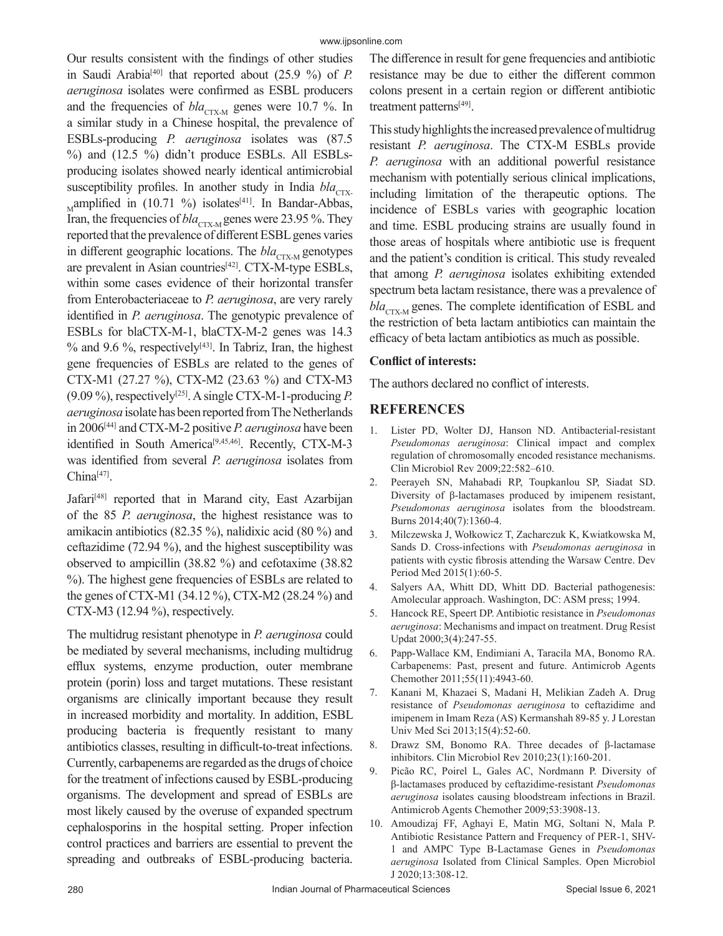Our results consistent with the findings of other studies in Saudi Arabia[40] that reported about (25.9 %) of *P. aeruginosa* isolates were confirmed as ESBL producers and the frequencies of  $bla_{\text{CTX-M}}$  genes were 10.7 %. In a similar study in a Chinese hospital, the prevalence of ESBLs-producing *P. aeruginosa* isolates was (87.5 %) and (12.5 %) didn't produce ESBLs. All ESBLsproducing isolates showed nearly identical antimicrobial susceptibility profiles. In another study in India *bla*<sub>CTX-</sub> Mamplified in  $(10.71 \%)$  isolates<sup>[41]</sup>. In Bandar-Abbas, Iran, the frequencies of *bla*<sub>CTX-M</sub> genes were 23.95 %. They reported that the prevalence of different ESBL genes varies in different geographic locations. The *bla*<sub>CTX-M</sub> genotypes are prevalent in Asian countries $[42]$ . CTX-M-type ESBLs, within some cases evidence of their horizontal transfer from Enterobacteriaceae to *P. aeruginosa*, are very rarely identified in *P. aeruginosa*. The genotypic prevalence of ESBLs for blaCTX-M-1, blaCTX-M-2 genes was 14.3  $%$  and 9.6 %, respectively<sup>[43]</sup>. In Tabriz, Iran, the highest gene frequencies of ESBLs are related to the genes of CTX-M1 (27.27 %), CTX-M2 (23.63 %) and CTX-M3 (9.09 %), respectively[25]. A single CTX-M-1-producing *P. aeruginosa* isolate has been reported from The Netherlands in 2006[44] and CTX-M-2 positive *P. aeruginosa* have been identified in South America<sup>[9,45,46]</sup>. Recently, CTX-M-3 was identified from several *P. aeruginosa* isolates from  $China<sup>[47]</sup>$ .

Jafari<sup>[48]</sup> reported that in Marand city, East Azarbijan of the 85 *P. aeruginosa*, the highest resistance was to amikacin antibiotics (82.35 %), nalidixic acid (80 %) and ceftazidime (72.94 %), and the highest susceptibility was observed to ampicillin (38.82 %) and cefotaxime (38.82 %). The highest gene frequencies of ESBLs are related to the genes of CTX-M1 (34.12 %), CTX-M2 (28.24 %) and CTX-M3 (12.94 %), respectively.

The multidrug resistant phenotype in *P. aeruginosa* could be mediated by several mechanisms, including multidrug efflux systems, enzyme production, outer membrane protein (porin) loss and target mutations. These resistant organisms are clinically important because they result in increased morbidity and mortality. In addition, ESBL producing bacteria is frequently resistant to many antibiotics classes, resulting in difficult-to-treat infections. Currently, carbapenems are regarded as the drugs of choice for the treatment of infections caused by ESBL-producing organisms. The development and spread of ESBLs are most likely caused by the overuse of expanded spectrum cephalosporins in the hospital setting. Proper infection control practices and barriers are essential to prevent the spreading and outbreaks of ESBL-producing bacteria.

The difference in result for gene frequencies and antibiotic resistance may be due to either the different common colons present in a certain region or different antibiotic treatment patterns[49].

This study highlights the increased prevalence of multidrug resistant *P. aeruginosa*. The CTX-M ESBLs provide *P. aeruginosa* with an additional powerful resistance mechanism with potentially serious clinical implications, including limitation of the therapeutic options. The incidence of ESBLs varies with geographic location and time. ESBL producing strains are usually found in those areas of hospitals where antibiotic use is frequent and the patient's condition is critical. This study revealed that among *P. aeruginosa* isolates exhibiting extended spectrum beta lactam resistance, there was a prevalence of  $bla_{CTX-M}$  genes. The complete identification of ESBL and the restriction of beta lactam antibiotics can maintain the efficacy of beta lactam antibiotics as much as possible.

# **Conflict of interests:**

The authors declared no conflict of interests.

# **REFERENCES**

- 1. Lister PD, Wolter DJ, Hanson ND. Antibacterial-resistant *Pseudomonas aeruginosa*: Clinical impact and complex regulation of chromosomally encoded resistance mechanisms. Clin Microbiol Rev 2009;22:582–610.
- 2. Peerayeh SN, Mahabadi RP, Toupkanlou SP, Siadat SD. Diversity of β-lactamases produced by imipenem resistant, *Pseudomonas aeruginosa* isolates from the bloodstream. Burns 2014;40(7):1360-4.
- 3. Milczewska J, Wołkowicz T, Zacharczuk K, Kwiatkowska M, Sands D. Cross-infections with *Pseudomonas aeruginosa* in patients with cystic fibrosis attending the Warsaw Centre. Dev Period Med 2015(1):60-5.
- 4. Salyers AA, Whitt DD, Whitt DD. Bacterial pathogenesis: Amolecular approach. Washington, DC: ASM press; 1994.
- 5. Hancock RE, Speert DP. Antibiotic resistance in *Pseudomonas aeruginosa*: Mechanisms and impact on treatment. Drug Resist Updat 2000;3(4):247-55.
- 6. Papp-Wallace KM, Endimiani A, Taracila MA, Bonomo RA. Carbapenems: Past, present and future. Antimicrob Agents Chemother 2011;55(11):4943-60.
- 7. Kanani M, Khazaei S, Madani H, Melikian Zadeh A. Drug resistance of *Pseudomonas aeruginosa* to ceftazidime and imipenem in Imam Reza (AS) Kermanshah 89-85 y. J Lorestan Univ Med Sci 2013;15(4):52-60.
- 8. Drawz SM, Bonomo RA. Three decades of β-lactamase inhibitors. Clin Microbiol Rev 2010;23(1):160-201.
- 9. Picão RC, Poirel L, Gales AC, Nordmann P. Diversity of β-lactamases produced by ceftazidime-resistant *Pseudomonas aeruginosa* isolates causing bloodstream infections in Brazil. Antimicrob Agents Chemother 2009;53:3908-13.
- 10. Amoudizaj FF, Aghayi E, Matin MG, Soltani N, Mala P. Antibiotic Resistance Pattern and Frequency of PER-1, SHV-1 and AMPC Type B-Lactamase Genes in *Pseudomonas aeruginosa* Isolated from Clinical Samples. Open Microbiol J 2020;13:308-12.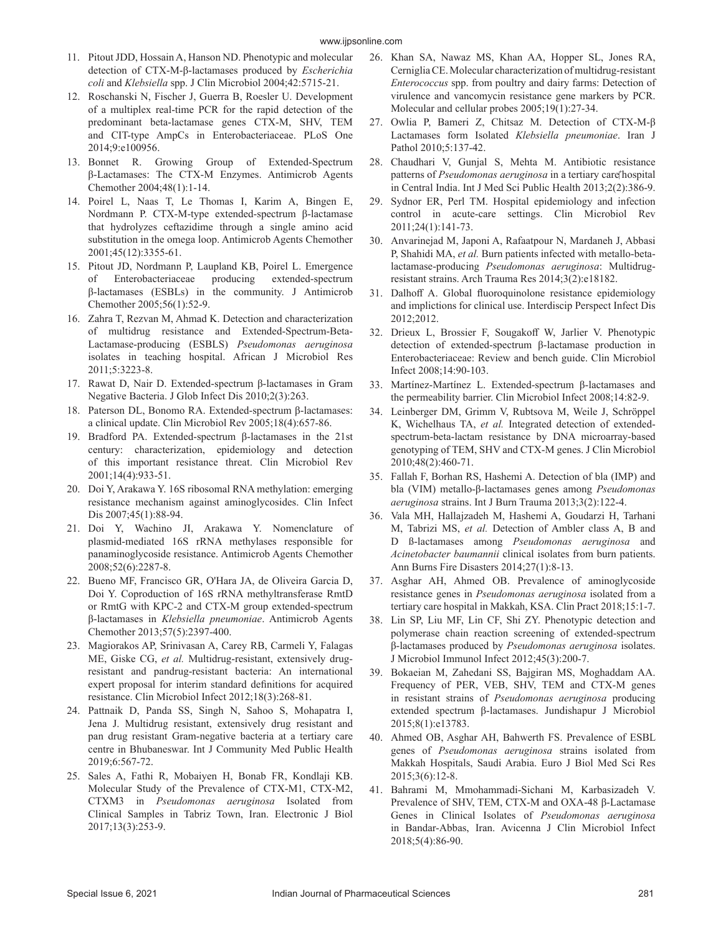- 11. Pitout JDD, Hossain A, Hanson ND. Phenotypic and molecular detection of CTX-M-β-lactamases produced by *Escherichia coli* and *Klebsiella* spp. J Clin Microbiol 2004;42:5715-21.
- 12. Roschanski N, Fischer J, Guerra B, Roesler U. Development of a multiplex real-time PCR for the rapid detection of the predominant beta-lactamase genes CTX-M, SHV, TEM and CIT-type AmpCs in Enterobacteriaceae. PLoS One 2014;9:e100956.
- 13. Bonnet R. Growing Group of Extended-Spectrum β-Lactamases: The CTX-M Enzymes. Antimicrob Agents Chemother 2004;48(1):1-14.
- 14. Poirel L, Naas T, Le Thomas I, Karim A, Bingen E, Nordmann P. CTX-M-type extended-spectrum β-lactamase that hydrolyzes ceftazidime through a single amino acid substitution in the omega loop. Antimicrob Agents Chemother 2001;45(12):3355-61.
- 15. Pitout JD, Nordmann P, Laupland KB, Poirel L. Emergence of Enterobacteriaceae producing extended-spectrum β-lactamases (ESBLs) in the community. J Antimicrob Chemother 2005;56(1):52-9.
- 16. Zahra T, Rezvan M, Ahmad K. Detection and characterization of multidrug resistance and Extended-Spectrum-Beta-Lactamase-producing (ESBLS) *Pseudomonas aeruginosa* isolates in teaching hospital. African J Microbiol Res 2011;5:3223-8.
- 17. Rawat D, Nair D. Extended-spectrum β-lactamases in Gram Negative Bacteria. J Glob Infect Dis 2010;2(3):263.
- 18. Paterson DL, Bonomo RA. Extended-spectrum β-lactamases: a clinical update. Clin Microbiol Rev 2005;18(4):657-86.
- 19. Bradford PA. Extended-spectrum β-lactamases in the 21st century: characterization, epidemiology and detection of this important resistance threat. Clin Microbiol Rev 2001;14(4):933-51.
- 20. Doi Y, Arakawa Y. 16S ribosomal RNA methylation: emerging resistance mechanism against aminoglycosides. Clin Infect Dis 2007;45(1):88-94.
- 21. Doi Y, Wachino JI, Arakawa Y. Nomenclature of plasmid-mediated 16S rRNA methylases responsible for panaminoglycoside resistance. Antimicrob Agents Chemother 2008;52(6):2287-8.
- 22. Bueno MF, Francisco GR, O'Hara JA, de Oliveira Garcia D, Doi Y. Coproduction of 16S rRNA methyltransferase RmtD or RmtG with KPC-2 and CTX-M group extended-spectrum β-lactamases in *Klebsiella pneumoniae*. Antimicrob Agents Chemother 2013;57(5):2397-400.
- 23. Magiorakos AP, Srinivasan A, Carey RB, Carmeli Y, Falagas ME, Giske CG, *et al.* Multidrug-resistant, extensively drugresistant and pandrug-resistant bacteria: An international expert proposal for interim standard definitions for acquired resistance. Clin Microbiol Infect 2012;18(3):268-81.
- 24. Pattnaik D, Panda SS, Singh N, Sahoo S, Mohapatra I, Jena J. Multidrug resistant, extensively drug resistant and pan drug resistant Gram-negative bacteria at a tertiary care centre in Bhubaneswar. Int J Community Med Public Health 2019;6:567-72.
- 25. Sales A, Fathi R, Mobaiyen H, Bonab FR, Kondlaji KB. Molecular Study of the Prevalence of CTX-M1, CTX-M2, CTXM3 in *Pseudomonas aeruginosa* Isolated from Clinical Samples in Tabriz Town, Iran. Electronic J Biol 2017;13(3):253-9.
- 26. Khan SA, Nawaz MS, Khan AA, Hopper SL, Jones RA, Cerniglia CE. Molecular characterization of multidrug-resistant *Enterococcus* spp. from poultry and dairy farms: Detection of virulence and vancomycin resistance gene markers by PCR. Molecular and cellular probes 2005;19(1):27-34.
- 27. Owlia P, Bameri Z, Chitsaz M. Detection of CTX-M-β Lactamases form Isolated *Klebsiella pneumoniae*. Iran J Pathol 2010;5:137-42.
- 28. Chaudhari V, Gunjal S, Mehta M. Antibiotic resistance patterns of Pseudomonas aeruginosa in a tertiary care hospital in Central India. Int J Med Sci Public Health 2013;2(2):386-9.
- 29. Sydnor ER, Perl TM. Hospital epidemiology and infection control in acute-care settings. Clin Microbiol Rev 2011;24(1):141-73.
- 30. Anvarinejad M, Japoni A, Rafaatpour N, Mardaneh J, Abbasi P, Shahidi MA, *et al.* Burn patients infected with metallo-betalactamase-producing *Pseudomonas aeruginosa*: Multidrugresistant strains. Arch Trauma Res 2014;3(2):e18182.
- 31. Dalhoff A. Global fluoroquinolone resistance epidemiology and implictions for clinical use. Interdiscip Perspect Infect Dis 2012;2012.
- 32. Drieux L, Brossier F, Sougakoff W, Jarlier V. Phenotypic detection of extended‐spectrum β‐lactamase production in Enterobacteriaceae: Review and bench guide. Clin Microbiol Infect 2008;14:90-103.
- 33. Martínez‐Martínez L. Extended‐spectrum β‐lactamases and the permeability barrier. Clin Microbiol Infect 2008;14:82-9.
- 34. Leinberger DM, Grimm V, Rubtsova M, Weile J, Schröppel K, Wichelhaus TA, *et al.* Integrated detection of extendedspectrum-beta-lactam resistance by DNA microarray-based genotyping of TEM, SHV and CTX-M genes. J Clin Microbiol 2010;48(2):460-71.
- 35. Fallah F, Borhan RS, Hashemi A. Detection of bla (IMP) and bla (VIM) metallo-β-lactamases genes among *Pseudomonas aeruginosa* strains. Int J Burn Trauma 2013;3(2):122-4.
- 36. Vala MH, Hallajzadeh M, Hashemi A, Goudarzi H, Tarhani M, Tabrizi MS, *et al.* Detection of Ambler class A, B and D ß-lactamases among *Pseudomonas aeruginosa* and *Acinetobacter baumannii* clinical isolates from burn patients. Ann Burns Fire Disasters 2014;27(1):8-13.
- 37. Asghar AH, Ahmed OB. Prevalence of aminoglycoside resistance genes in *Pseudomonas aeruginosa* isolated from a tertiary care hospital in Makkah, KSA. Clin Pract 2018;15:1-7.
- 38. Lin SP, Liu MF, Lin CF, Shi ZY. Phenotypic detection and polymerase chain reaction screening of extended-spectrum β-lactamases produced by *Pseudomonas aeruginosa* isolates. J Microbiol Immunol Infect 2012;45(3):200-7.
- 39. Bokaeian M, Zahedani SS, Bajgiran MS, Moghaddam AA. Frequency of PER, VEB, SHV, TEM and CTX-M genes in resistant strains of *Pseudomonas aeruginosa* producing extended spectrum β-lactamases. Jundishapur J Microbiol 2015;8(1):e13783.
- 40. Ahmed OB, Asghar AH, Bahwerth FS. Prevalence of ESBL genes of *Pseudomonas aeruginosa* strains isolated from Makkah Hospitals, Saudi Arabia. Euro J Biol Med Sci Res 2015;3(6):12-8.
- 41. Bahrami M, Mmohammadi-Sichani M, Karbasizadeh V. Prevalence of SHV, TEM, CTX-M and OXA-48 β-Lactamase Genes in Clinical Isolates of *Pseudomonas aeruginosa* in Bandar-Abbas, Iran. Avicenna J Clin Microbiol Infect 2018;5(4):86-90.